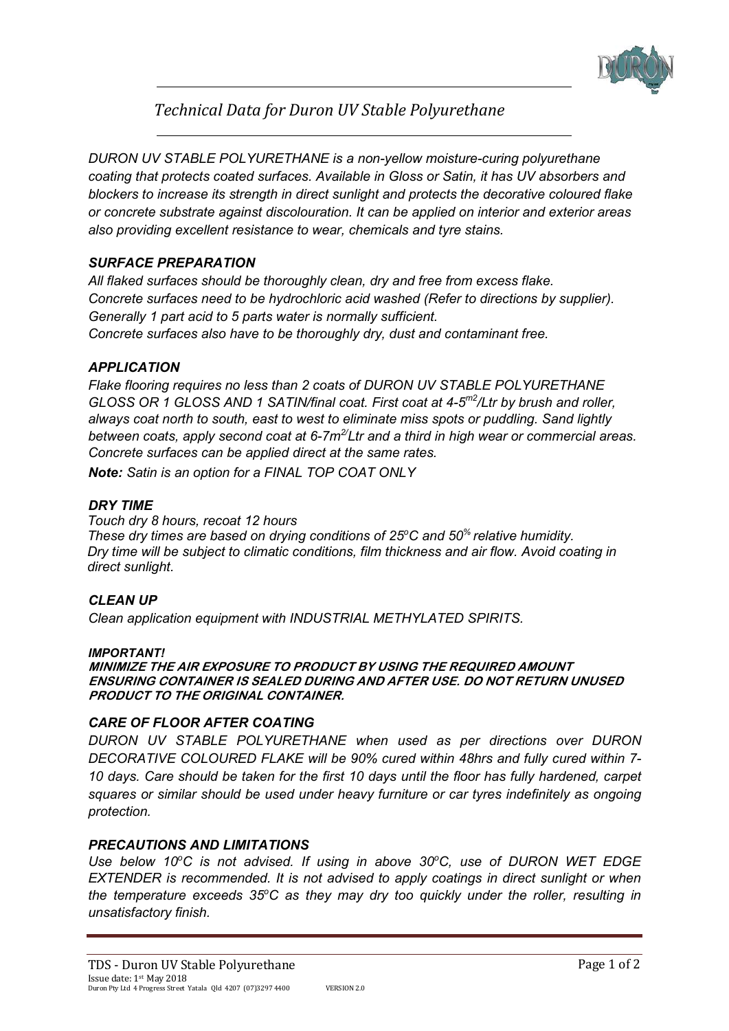

# *Technical Data for Duron UV Stable Polyurethane*

*DURON UV STABLE POLYURETHANE is a non-yellow moisture-curing polyurethane coating that protects coated surfaces. Available in Gloss or Satin, it has UV absorbers and blockers to increase its strength in direct sunlight and protects the decorative coloured flake or concrete substrate against discolouration. It can be applied on interior and exterior areas also providing excellent resistance to wear, chemicals and tyre stains.* 

# *SURFACE PREPARATION*

*All flaked surfaces should be thoroughly clean, dry and free from excess flake. Concrete surfaces need to be hydrochloric acid washed (Refer to directions by supplier). Generally 1 part acid to 5 parts water is normally sufficient. Concrete surfaces also have to be thoroughly dry, dust and contaminant free.* 

## *APPLICATION*

*Flake flooring requires no less than 2 coats of DURON UV STABLE POLYURETHANE GLOSS OR 1 GLOSS AND 1 SATIN/final coat. First coat at 4-5m2/Ltr by brush and roller, always coat north to south, east to west to eliminate miss spots or puddling. Sand lightly between coats, apply second coat at 6-7m2/Ltr and a third in high wear or commercial areas. Concrete surfaces can be applied direct at the same rates.* 

*Note: Satin is an option for a FINAL TOP COAT ONLY* 

## *DRY TIME*

 *Touch dry 8 hours, recoat 12 hours These dry times are based on drying conditions of 25<sup>o</sup>C and 50% relative humidity. Dry time will be subject to climatic conditions, film thickness and air flow. Avoid coating in direct sunlight.* 

## *CLEAN UP*

*Clean application equipment with INDUSTRIAL METHYLATED SPIRITS.* 

#### *IMPORTANT!*

**MINIMIZE THE AIR EXPOSURE TO PRODUCT BY USING THE REQUIRED AMOUNT ENSURING CONTAINER IS SEALED DURING AND AFTER USE. DO NOT RETURN UNUSED PRODUCT TO THE ORIGINAL CONTAINER.** 

## *CARE OF FLOOR AFTER COATING*

*DURON UV STABLE POLYURETHANE when used as per directions over DURON DECORATIVE COLOURED FLAKE will be 90% cured within 48hrs and fully cured within 7- 10 days. Care should be taken for the first 10 days until the floor has fully hardened, carpet squares or similar should be used under heavy furniture or car tyres indefinitely as ongoing protection.* 

## *PRECAUTIONS AND LIMITATIONS*

*Use below 10<sup>o</sup>C is not advised. If using in above 30<sup>o</sup>C, use of DURON WET EDGE EXTENDER is recommended. It is not advised to apply coatings in direct sunlight or when the temperature exceeds 35<sup>o</sup>C as they may dry too quickly under the roller, resulting in unsatisfactory finish.*